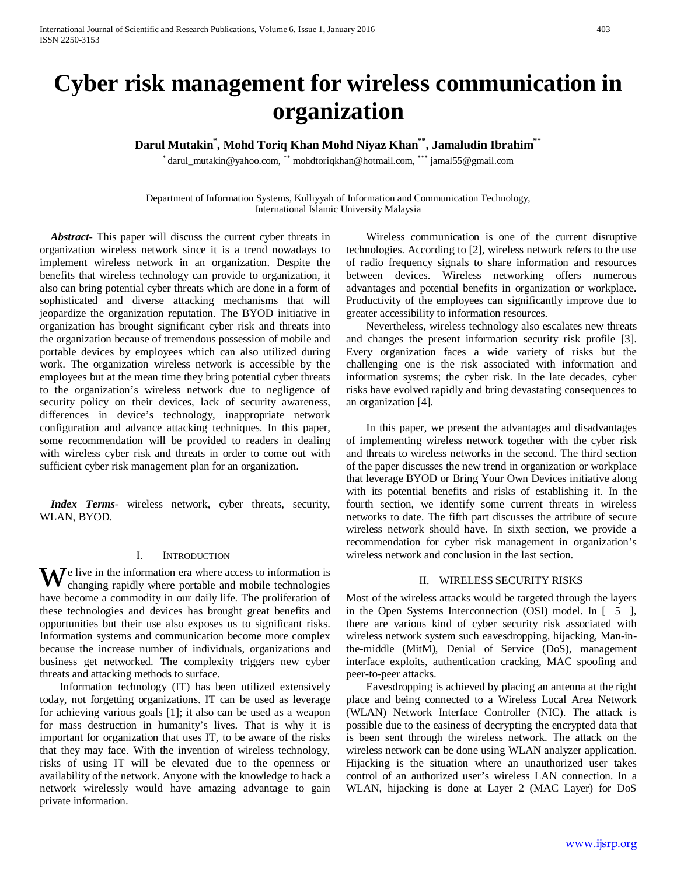# **Cyber risk management for wireless communication in organization**

**Darul Mutakin\* , Mohd Toriq Khan Mohd Niyaz Khan\*\*, Jamaludin Ibrahim\*\***

\* darul\_mutakin@yahoo.com, \*\* mohdtoriqkhan@hotmail.com, \*\*\* jamal55@gmail.com

Department of Information Systems, Kulliyyah of Information and Communication Technology, International Islamic University Malaysia

 *Abstract***-** This paper will discuss the current cyber threats in organization wireless network since it is a trend nowadays to implement wireless network in an organization. Despite the benefits that wireless technology can provide to organization, it also can bring potential cyber threats which are done in a form of sophisticated and diverse attacking mechanisms that will jeopardize the organization reputation. The BYOD initiative in organization has brought significant cyber risk and threats into the organization because of tremendous possession of mobile and portable devices by employees which can also utilized during work. The organization wireless network is accessible by the employees but at the mean time they bring potential cyber threats to the organization's wireless network due to negligence of security policy on their devices, lack of security awareness, differences in device's technology, inappropriate network configuration and advance attacking techniques. In this paper, some recommendation will be provided to readers in dealing with wireless cyber risk and threats in order to come out with sufficient cyber risk management plan for an organization.

 *Index Terms*- wireless network, cyber threats, security, WLAN, BYOD.

#### I. INTRODUCTION

e live in the information era where access to information is changing rapidly where portable and mobile technologies have become a commodity in our daily life. The proliferation of these technologies and devices has brought great benefits and opportunities but their use also exposes us to significant risks. Information systems and communication become more complex because the increase number of individuals, organizations and business get networked. The complexity triggers new cyber threats and attacking methods to surface. W

Information technology (IT) has been utilized extensively today, not forgetting organizations. IT can be used as leverage for achieving various goals [1]; it also can be used as a weapon for mass destruction in humanity's lives. That is why it is important for organization that uses IT, to be aware of the risks that they may face. With the invention of wireless technology, risks of using IT will be elevated due to the openness or availability of the network. Anyone with the knowledge to hack a network wirelessly would have amazing advantage to gain private information.

Wireless communication is one of the current disruptive technologies. According to [2], wireless network refers to the use of radio frequency signals to share information and resources between devices. Wireless networking offers numerous advantages and potential benefits in organization or workplace. Productivity of the employees can significantly improve due to greater accessibility to information resources.

Nevertheless, wireless technology also escalates new threats and changes the present information security risk profile [3]. Every organization faces a wide variety of risks but the challenging one is the risk associated with information and information systems; the cyber risk. In the late decades, cyber risks have evolved rapidly and bring devastating consequences to an organization [4].

In this paper, we present the advantages and disadvantages of implementing wireless network together with the cyber risk and threats to wireless networks in the second. The third section of the paper discusses the new trend in organization or workplace that leverage BYOD or Bring Your Own Devices initiative along with its potential benefits and risks of establishing it. In the fourth section, we identify some current threats in wireless networks to date. The fifth part discusses the attribute of secure wireless network should have. In sixth section, we provide a recommendation for cyber risk management in organization's wireless network and conclusion in the last section.

#### II. WIRELESS SECURITY RISKS

Most of the wireless attacks would be targeted through the layers in the Open Systems Interconnection (OSI) model. In [ 5 ], there are various kind of cyber security risk associated with wireless network system such eavesdropping, hijacking, Man-inthe-middle (MitM), Denial of Service (DoS), management interface exploits, authentication cracking, MAC spoofing and peer-to-peer attacks.

Eavesdropping is achieved by placing an antenna at the right place and being connected to a Wireless Local Area Network (WLAN) Network Interface Controller (NIC). The attack is possible due to the easiness of decrypting the encrypted data that is been sent through the wireless network. The attack on the wireless network can be done using WLAN analyzer application. Hijacking is the situation where an unauthorized user takes control of an authorized user's wireless LAN connection. In a WLAN, hijacking is done at Layer 2 (MAC Layer) for DoS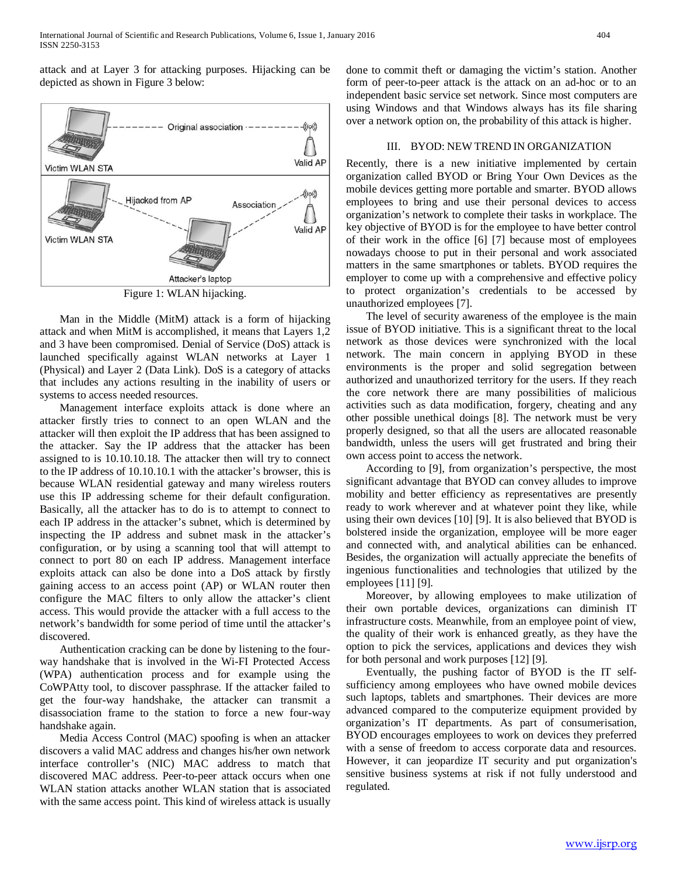attack and at Layer 3 for attacking purposes. Hijacking can be depicted as shown in Figure 3 below:



Figure 1: WLAN hijacking.

Man in the Middle (MitM) attack is a form of hijacking attack and when MitM is accomplished, it means that Layers 1,2 and 3 have been compromised. Denial of Service (DoS) attack is launched specifically against WLAN networks at Layer 1 (Physical) and Layer 2 (Data Link). DoS is a category of attacks that includes any actions resulting in the inability of users or systems to access needed resources.

Management interface exploits attack is done where an attacker firstly tries to connect to an open WLAN and the attacker will then exploit the IP address that has been assigned to the attacker. Say the IP address that the attacker has been assigned to is 10.10.10.18. The attacker then will try to connect to the IP address of 10.10.10.1 with the attacker's browser, this is because WLAN residential gateway and many wireless routers use this IP addressing scheme for their default configuration. Basically, all the attacker has to do is to attempt to connect to each IP address in the attacker's subnet, which is determined by inspecting the IP address and subnet mask in the attacker's configuration, or by using a scanning tool that will attempt to connect to port 80 on each IP address. Management interface exploits attack can also be done into a DoS attack by firstly gaining access to an access point (AP) or WLAN router then configure the MAC filters to only allow the attacker's client access. This would provide the attacker with a full access to the network's bandwidth for some period of time until the attacker's discovered.

Authentication cracking can be done by listening to the fourway handshake that is involved in the Wi-FI Protected Access (WPA) authentication process and for example using the CoWPAtty tool, to discover passphrase. If the attacker failed to get the four-way handshake, the attacker can transmit a disassociation frame to the station to force a new four-way handshake again.

Media Access Control (MAC) spoofing is when an attacker discovers a valid MAC address and changes his/her own network interface controller's (NIC) MAC address to match that discovered MAC address. Peer-to-peer attack occurs when one WLAN station attacks another WLAN station that is associated with the same access point. This kind of wireless attack is usually

done to commit theft or damaging the victim's station. Another form of peer-to-peer attack is the attack on an ad-hoc or to an independent basic service set network. Since most computers are using Windows and that Windows always has its file sharing over a network option on, the probability of this attack is higher.

# III. BYOD: NEW TREND IN ORGANIZATION

Recently, there is a new initiative implemented by certain organization called BYOD or Bring Your Own Devices as the mobile devices getting more portable and smarter. BYOD allows employees to bring and use their personal devices to access organization's network to complete their tasks in workplace. The key objective of BYOD is for the employee to have better control of their work in the office [6] [7] because most of employees nowadays choose to put in their personal and work associated matters in the same smartphones or tablets. BYOD requires the employer to come up with a comprehensive and effective policy to protect organization's credentials to be accessed by unauthorized employees [7].

The level of security awareness of the employee is the main issue of BYOD initiative. This is a significant threat to the local network as those devices were synchronized with the local network. The main concern in applying BYOD in these environments is the proper and solid segregation between authorized and unauthorized territory for the users. If they reach the core network there are many possibilities of malicious activities such as data modification, forgery, cheating and any other possible unethical doings [8]. The network must be very properly designed, so that all the users are allocated reasonable bandwidth, unless the users will get frustrated and bring their own access point to access the network.

According to [9], from organization's perspective, the most significant advantage that BYOD can convey alludes to improve mobility and better efficiency as representatives are presently ready to work wherever and at whatever point they like, while using their own devices [10] [9]. It is also believed that BYOD is bolstered inside the organization, employee will be more eager and connected with, and analytical abilities can be enhanced. Besides, the organization will actually appreciate the benefits of ingenious functionalities and technologies that utilized by the employees [11] [9].

Moreover, by allowing employees to make utilization of their own portable devices, organizations can diminish IT infrastructure costs. Meanwhile, from an employee point of view, the quality of their work is enhanced greatly, as they have the option to pick the services, applications and devices they wish for both personal and work purposes [12] [9].

Eventually, the pushing factor of BYOD is the IT selfsufficiency among employees who have owned mobile devices such laptops, tablets and smartphones. Their devices are more advanced compared to the computerize equipment provided by organization's IT departments. As part of consumerisation, BYOD encourages employees to work on devices they preferred with a sense of freedom to access corporate data and resources. However, it can jeopardize IT security and put organization's sensitive business systems at risk if not fully understood and regulated.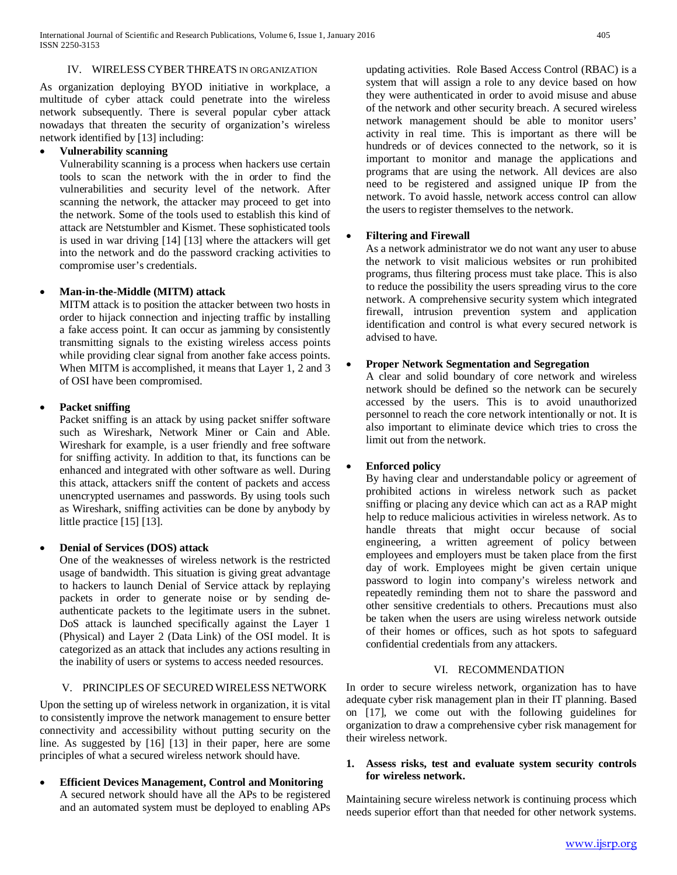#### IV. WIRELESS CYBERTHREATS IN ORGANIZATION

As organization deploying BYOD initiative in workplace, a multitude of cyber attack could penetrate into the wireless network subsequently. There is several popular cyber attack nowadays that threaten the security of organization's wireless network identified by [13] including:

# • **Vulnerability scanning**

Vulnerability scanning is a process when hackers use certain tools to scan the network with the in order to find the vulnerabilities and security level of the network. After scanning the network, the attacker may proceed to get into the network. Some of the tools used to establish this kind of attack are Netstumbler and Kismet. These sophisticated tools is used in war driving [14] [13] where the attackers will get into the network and do the password cracking activities to compromise user's credentials.

# • **Man-in-the-Middle (MITM) attack**

MITM attack is to position the attacker between two hosts in order to hijack connection and injecting traffic by installing a fake access point. It can occur as jamming by consistently transmitting signals to the existing wireless access points while providing clear signal from another fake access points. When MITM is accomplished, it means that Layer 1, 2 and 3 of OSI have been compromised.

## • **Packet sniffing**

Packet sniffing is an attack by using packet sniffer software such as Wireshark, Network Miner or Cain and Able. Wireshark for example, is a user friendly and free software for sniffing activity. In addition to that, its functions can be enhanced and integrated with other software as well. During this attack, attackers sniff the content of packets and access unencrypted usernames and passwords. By using tools such as Wireshark, sniffing activities can be done by anybody by little practice [15] [13].

## • **Denial of Services (DOS) attack**

One of the weaknesses of wireless network is the restricted usage of bandwidth. This situation is giving great advantage to hackers to launch Denial of Service attack by replaying packets in order to generate noise or by sending deauthenticate packets to the legitimate users in the subnet. DoS attack is launched specifically against the Layer 1 (Physical) and Layer 2 (Data Link) of the OSI model. It is categorized as an attack that includes any actions resulting in the inability of users or systems to access needed resources.

# V. PRINCIPLES OF SECURED WIRELESS NETWORK

Upon the setting up of wireless network in organization, it is vital to consistently improve the network management to ensure better connectivity and accessibility without putting security on the line. As suggested by [16] [13] in their paper, here are some principles of what a secured wireless network should have.

• **Efficient Devices Management, Control and Monitoring** A secured network should have all the APs to be registered and an automated system must be deployed to enabling APs

updating activities. Role Based Access Control (RBAC) is a system that will assign a role to any device based on how they were authenticated in order to avoid misuse and abuse of the network and other security breach. A secured wireless network management should be able to monitor users' activity in real time. This is important as there will be hundreds or of devices connected to the network, so it is important to monitor and manage the applications and programs that are using the network. All devices are also need to be registered and assigned unique IP from the network. To avoid hassle, network access control can allow the users to register themselves to the network.

## • **Filtering and Firewall**

As a network administrator we do not want any user to abuse the network to visit malicious websites or run prohibited programs, thus filtering process must take place. This is also to reduce the possibility the users spreading virus to the core network. A comprehensive security system which integrated firewall, intrusion prevention system and application identification and control is what every secured network is advised to have.

# • **Proper Network Segmentation and Segregation**

A clear and solid boundary of core network and wireless network should be defined so the network can be securely accessed by the users. This is to avoid unauthorized personnel to reach the core network intentionally or not. It is also important to eliminate device which tries to cross the limit out from the network.

## • **Enforced policy**

By having clear and understandable policy or agreement of prohibited actions in wireless network such as packet sniffing or placing any device which can act as a RAP might help to reduce malicious activities in wireless network. As to handle threats that might occur because of social engineering, a written agreement of policy between employees and employers must be taken place from the first day of work. Employees might be given certain unique password to login into company's wireless network and repeatedly reminding them not to share the password and other sensitive credentials to others. Precautions must also be taken when the users are using wireless network outside of their homes or offices, such as hot spots to safeguard confidential credentials from any attackers.

# VI. RECOMMENDATION

In order to secure wireless network, organization has to have adequate cyber risk management plan in their IT planning. Based on [17], we come out with the following guidelines for organization to draw a comprehensive cyber risk management for their wireless network.

#### **1. Assess risks, test and evaluate system security controls for wireless network.**

Maintaining secure wireless network is continuing process which needs superior effort than that needed for other network systems.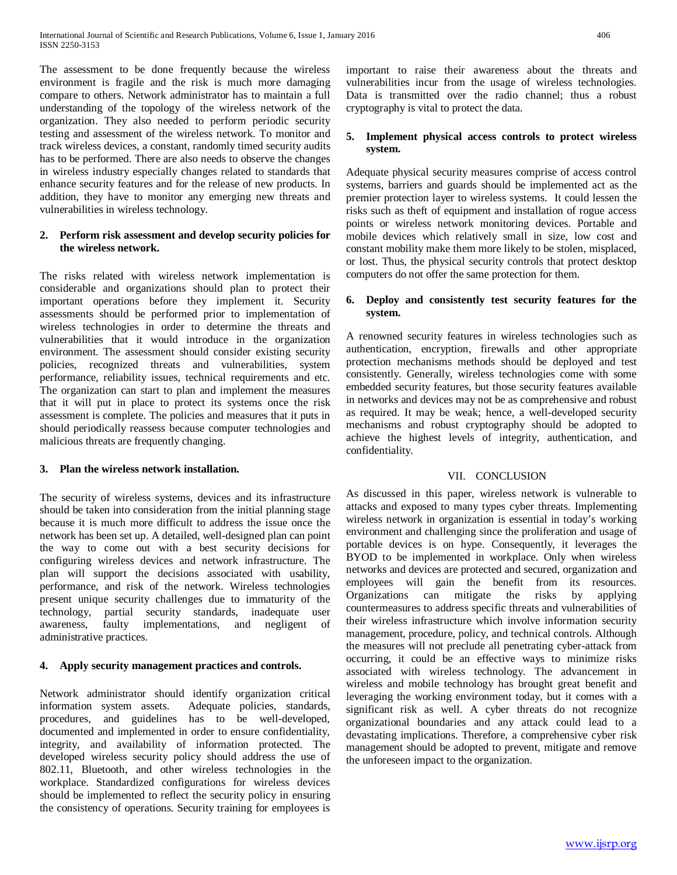The assessment to be done frequently because the wireless environment is fragile and the risk is much more damaging compare to others. Network administrator has to maintain a full understanding of the topology of the wireless network of the organization. They also needed to perform periodic security testing and assessment of the wireless network. To monitor and track wireless devices, a constant, randomly timed security audits has to be performed. There are also needs to observe the changes in wireless industry especially changes related to standards that enhance security features and for the release of new products. In addition, they have to monitor any emerging new threats and vulnerabilities in wireless technology.

# **2. Perform risk assessment and develop security policies for the wireless network.**

The risks related with wireless network implementation is considerable and organizations should plan to protect their important operations before they implement it. Security assessments should be performed prior to implementation of wireless technologies in order to determine the threats and vulnerabilities that it would introduce in the organization environment. The assessment should consider existing security policies, recognized threats and vulnerabilities, system performance, reliability issues, technical requirements and etc. The organization can start to plan and implement the measures that it will put in place to protect its systems once the risk assessment is complete. The policies and measures that it puts in should periodically reassess because computer technologies and malicious threats are frequently changing.

# **3. Plan the wireless network installation.**

The security of wireless systems, devices and its infrastructure should be taken into consideration from the initial planning stage because it is much more difficult to address the issue once the network has been set up. A detailed, well-designed plan can point the way to come out with a best security decisions for configuring wireless devices and network infrastructure. The plan will support the decisions associated with usability, performance, and risk of the network. Wireless technologies present unique security challenges due to immaturity of the technology, partial security standards, inadequate user awareness, faulty implementations, and negligent of administrative practices.

# **4. Apply security management practices and controls.**

Network administrator should identify organization critical information system assets. Adequate policies, standards, procedures, and guidelines has to be well-developed, documented and implemented in order to ensure confidentiality, integrity, and availability of information protected. The developed wireless security policy should address the use of 802.11, Bluetooth, and other wireless technologies in the workplace. Standardized configurations for wireless devices should be implemented to reflect the security policy in ensuring the consistency of operations. Security training for employees is important to raise their awareness about the threats and vulnerabilities incur from the usage of wireless technologies. Data is transmitted over the radio channel; thus a robust cryptography is vital to protect the data.

# **5. Implement physical access controls to protect wireless system.**

Adequate physical security measures comprise of access control systems, barriers and guards should be implemented act as the premier protection layer to wireless systems. It could lessen the risks such as theft of equipment and installation of rogue access points or wireless network monitoring devices. Portable and mobile devices which relatively small in size, low cost and constant mobility make them more likely to be stolen, misplaced, or lost. Thus, the physical security controls that protect desktop computers do not offer the same protection for them.

# **6. Deploy and consistently test security features for the system.**

A renowned security features in wireless technologies such as authentication, encryption, firewalls and other appropriate protection mechanisms methods should be deployed and test consistently. Generally, wireless technologies come with some embedded security features, but those security features available in networks and devices may not be as comprehensive and robust as required. It may be weak; hence, a well-developed security mechanisms and robust cryptography should be adopted to achieve the highest levels of integrity, authentication, and confidentiality.

## VII. CONCLUSION

As discussed in this paper, wireless network is vulnerable to attacks and exposed to many types cyber threats. Implementing wireless network in organization is essential in today's working environment and challenging since the proliferation and usage of portable devices is on hype. Consequently, it leverages the BYOD to be implemented in workplace. Only when wireless networks and devices are protected and secured, organization and employees will gain the benefit from its resources. Organizations can mitigate the risks by applying countermeasures to address specific threats and vulnerabilities of their wireless infrastructure which involve information security management, procedure, policy, and technical controls. Although the measures will not preclude all penetrating cyber-attack from occurring, it could be an effective ways to minimize risks associated with wireless technology. The advancement in wireless and mobile technology has brought great benefit and leveraging the working environment today, but it comes with a significant risk as well. A cyber threats do not recognize organizational boundaries and any attack could lead to a devastating implications. Therefore, a comprehensive cyber risk management should be adopted to prevent, mitigate and remove the unforeseen impact to the organization.